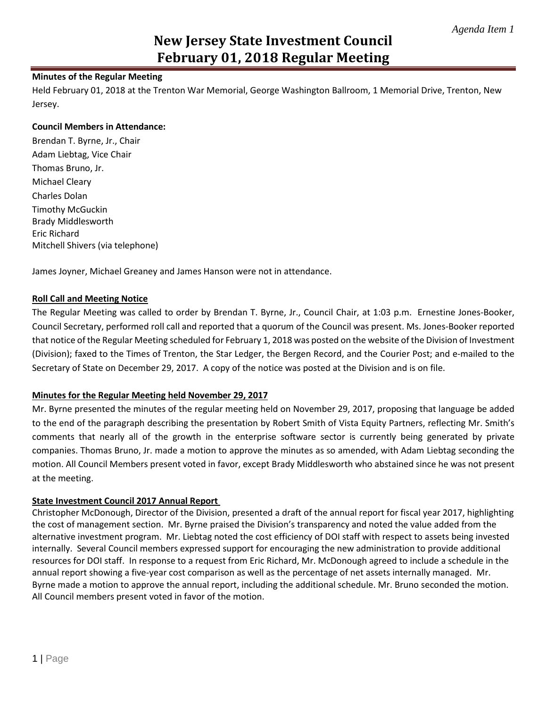# **New Jersey State Investment Council February 01, 2018 Regular Meeting**

## **Minutes of the Regular Meeting**

Held February 01, 2018 at the Trenton War Memorial, George Washington Ballroom, 1 Memorial Drive, Trenton, New Jersey.

### **Council Members in Attendance:**

Brendan T. Byrne, Jr., Chair Adam Liebtag, Vice Chair Thomas Bruno, Jr. Michael Cleary Charles Dolan Timothy McGuckin Brady Middlesworth Eric Richard Mitchell Shivers (via telephone)

James Joyner, Michael Greaney and James Hanson were not in attendance.

## **Roll Call and Meeting Notice**

The Regular Meeting was called to order by Brendan T. Byrne, Jr., Council Chair, at 1:03 p.m. Ernestine Jones-Booker, Council Secretary, performed roll call and reported that a quorum of the Council was present. Ms. Jones-Booker reported that notice of the Regular Meeting scheduled for February 1, 2018 was posted on the website of the Division of Investment (Division); faxed to the Times of Trenton, the Star Ledger, the Bergen Record, and the Courier Post; and e-mailed to the Secretary of State on December 29, 2017. A copy of the notice was posted at the Division and is on file.

## **Minutes for the Regular Meeting held November 29, 2017**

Mr. Byrne presented the minutes of the regular meeting held on November 29, 2017, proposing that language be added to the end of the paragraph describing the presentation by Robert Smith of Vista Equity Partners, reflecting Mr. Smith's comments that nearly all of the growth in the enterprise software sector is currently being generated by private companies. Thomas Bruno, Jr. made a motion to approve the minutes as so amended, with Adam Liebtag seconding the motion. All Council Members present voted in favor, except Brady Middlesworth who abstained since he was not present at the meeting.

### **State Investment Council 2017 Annual Report**

Christopher McDonough, Director of the Division, presented a draft of the annual report for fiscal year 2017, highlighting the cost of management section. Mr. Byrne praised the Division's transparency and noted the value added from the alternative investment program. Mr. Liebtag noted the cost efficiency of DOI staff with respect to assets being invested internally. Several Council members expressed support for encouraging the new administration to provide additional resources for DOI staff. In response to a request from Eric Richard, Mr. McDonough agreed to include a schedule in the annual report showing a five-year cost comparison as well as the percentage of net assets internally managed. Mr. Byrne made a motion to approve the annual report, including the additional schedule. Mr. Bruno seconded the motion. All Council members present voted in favor of the motion.